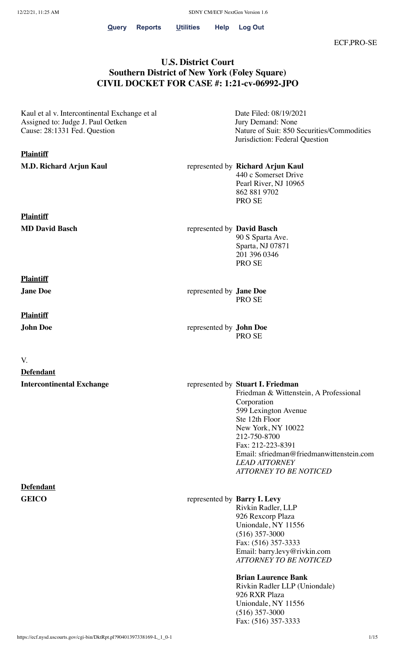**[Query](https://ecf.nysd.uscourts.gov/cgi-bin/iquery.pl) [Reports](https://ecf.nysd.uscourts.gov/cgi-bin/DisplayMenu.pl?Reports) [Utilities](https://ecf.nysd.uscourts.gov/cgi-bin/DisplayMenu.pl?Utilities) Help [Log](https://ecf.nysd.uscourts.gov/cgi-bin/login.pl?logout) Out**

### **U.S. District Court Southern District of New York (Foley Square) CIVIL DOCKET FOR CASE #: 1:21-cv-06992-JPO**

Kaul et al v. Intercontinental Exchange et al Assigned to: Judge J. Paul Oetken Cause: 28:1331 Fed. Question

#### **Plaintiff**

**Plaintiff**

Date Filed: 08/19/2021 Jury Demand: None Nature of Suit: 850 Securities/Commodities Jurisdiction: Federal Question

**M.D. Richard Arjun Kaul** represented by **Richard Arjun Kaul** 440 c Somerset Drive Pearl River, NJ 10965 862 881 9702 PRO SE

**MD David Basch** represented by **David Basch** 90 S Sparta Ave. Sparta, NJ 07871 201 396 0346 PRO SE

**Jane Doe** represented by **Jane Doe** PRO SE

**John Doe** represented by **John Doe** PRO SE

**Intercontinental Exchange** represented by **Stuart I. Friedman** Friedman & Wittenstein, A Professional Corporation 599 Lexington Avenue Ste 12th Floor New York, NY 10022 212-750-8700 Fax: 212-223-8391 Email: sfriedman@friedmanwittenstein.com *LEAD ATTORNEY ATTORNEY TO BE NOTICED*

**GEICO** represented by **Barry I. Levy**  Rivkin Radler, LLP 926 Rexcorp Plaza Uniondale, NY 11556 (516) 357-3000 Fax: (516) 357-3333 Email: barry.levy@rivkin.com *ATTORNEY TO BE NOTICED*

> **Brian Laurence Bank**  Rivkin Radler LLP (Uniondale) 926 RXR Plaza Uniondale, NY 11556 (516) 357-3000 Fax: (516) 357-3333

**Plaintiff**

**Plaintiff**

V.

**Defendant**

**Defendant**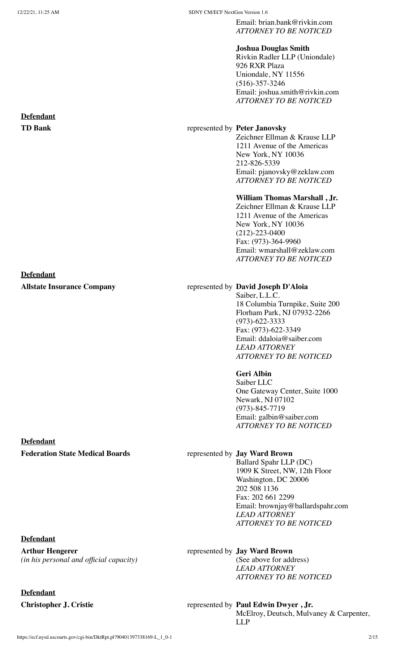Email: brian.bank@rivkin.com *ATTORNEY TO BE NOTICED*

#### **Joshua Douglas Smith**

Rivkin Radler LLP (Uniondale) 926 RXR Plaza Uniondale, NY 11556 (516)-357-3246 Email: joshua.smith@rivkin.com *ATTORNEY TO BE NOTICED*

#### **TD Bank** represented by **Peter Janovsky**

Zeichner Ellman & Krause LLP 1211 Avenue of the Americas New York, NY 10036 212-826-5339 Email: pjanovsky@zeklaw.com *ATTORNEY TO BE NOTICED*

#### **William Thomas Marshall , Jr.**

Zeichner Ellman & Krause LLP 1211 Avenue of the Americas New York, NY 10036 (212)-223-0400 Fax: (973)-364-9960 Email: wmarshall@zeklaw.com *ATTORNEY TO BE NOTICED*

#### **Allstate Insurance Company** represented by **David Joseph D'Aloia**

Saiber, L.L.C. 18 Columbia Turnpike, Suite 200 Florham Park, NJ 07932-2266 (973)-622-3333 Fax: (973)-622-3349 Email: ddaloia@saiber.com *LEAD ATTORNEY ATTORNEY TO BE NOTICED*

**Geri Albin**  Saiber LLC

One Gateway Center, Suite 1000 Newark, NJ 07102 (973)-845-7719 Email: galbin@saiber.com *ATTORNEY TO BE NOTICED*

Ballard Spahr LLP (DC) 1909 K Street, NW, 12th Floor Washington, DC 20006 202 508 1136 Fax: 202 661 2299 Email: brownjay@ballardspahr.com *LEAD ATTORNEY ATTORNEY TO BE NOTICED*

#### represented by **Jay Ward Brown**

(See above for address) *LEAD ATTORNEY ATTORNEY TO BE NOTICED*

#### **Christopher J. Cristie** represented by **Paul Edwin Dwyer**, Jr.

McElroy, Deutsch, Mulvaney & Carpenter, LLP

## **Defendant**

#### **Defendant**

#### **Defendant**

#### **Federation State Medical Boards** represented by **Jay Ward Brown**

#### **Defendant**

**Arthur Hengerer** *(in his personal and official capacity)*

# **Defendant**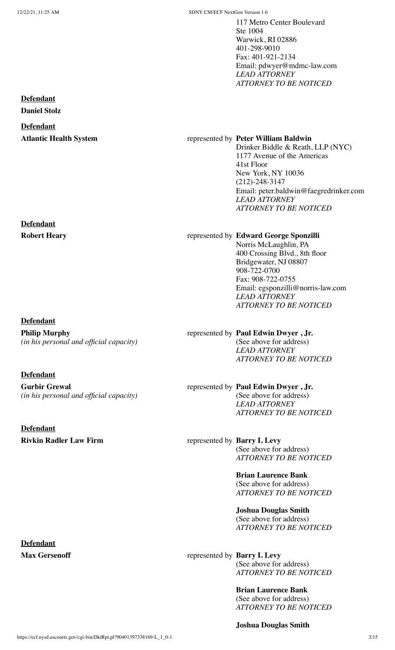117 Metro Center Boulevard Ste 1004 Warwick, RI 02886 401-298-9010 Fax: 401-921-2134 Email: pdwyer@mdmc-law.com *LEAD ATTORNEY ATTORNEY TO BE NOTICED*

#### **Defendant**

**Daniel Stolz**

#### **Defendant**

#### **Atlantic Health System** represented by **Peter William Baldwin**

Drinker Biddle & Reath, LLP (NYC) 1177 Avenue of the Americas 41st Floor New York, NY 10036 (212)-248-3147 Email: peter.baldwin@faegredrinker.com *LEAD ATTORNEY ATTORNEY TO BE NOTICED*

#### **Defendant**

**Robert Heary** represented by **Edward George Sponzilli** 

### **Defendant**

**Philip Murphy** *(in his personal and official capacity)*

#### **Defendant**

**Gurbir Grewal** *(in his personal and official capacity)*

**Defendant Rivkin Radler Law Firm** represented by **Barry I. Levy** 

**Defendant**

#### Norris McLaughlin, PA

400 Crossing Blvd., 8th floor Bridgewater, NJ 08807 908-722-0700 Fax: 908-722-0755 Email: egsponzilli@norris-law.com *LEAD ATTORNEY ATTORNEY TO BE NOTICED*

#### represented by **Paul Edwin Dwyer , Jr.**  (See above for address) *LEAD ATTORNEY ATTORNEY TO BE NOTICED*

#### represented by **Paul Edwin Dwyer , Jr.**  (See above for address)

*LEAD ATTORNEY ATTORNEY TO BE NOTICED*

(See above for address) *ATTORNEY TO BE NOTICED*

> **Brian Laurence Bank**  (See above for address) *ATTORNEY TO BE NOTICED*

> **Joshua Douglas Smith**  (See above for address) *ATTORNEY TO BE NOTICED*

**Max Gersenoff** represented by **Barry I. Levy** (See above for address) *ATTORNEY TO BE NOTICED*

> **Brian Laurence Bank**  (See above for address) *ATTORNEY TO BE NOTICED*

**Joshua Douglas Smith**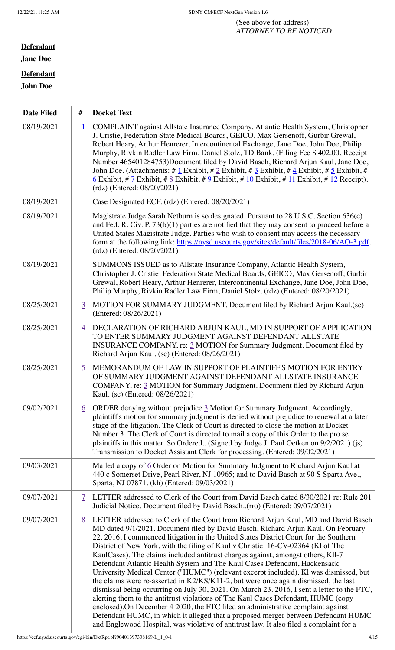#### (See above for address) *ATTORNEY TO BE NOTICED*

#### **Defendant**

**Jane Doe**

#### **Defendant**

#### **John Doe**

r

| <b>Date Filed</b> | #                        | <b>Docket Text</b>                                                                                                                                                                                                                                                                                                                                                                                                                                                                                                                                                                                                                                                                                                                                                                                                                                                                                                                                                                                                                                                                                                                                           |  |  |
|-------------------|--------------------------|--------------------------------------------------------------------------------------------------------------------------------------------------------------------------------------------------------------------------------------------------------------------------------------------------------------------------------------------------------------------------------------------------------------------------------------------------------------------------------------------------------------------------------------------------------------------------------------------------------------------------------------------------------------------------------------------------------------------------------------------------------------------------------------------------------------------------------------------------------------------------------------------------------------------------------------------------------------------------------------------------------------------------------------------------------------------------------------------------------------------------------------------------------------|--|--|
| 08/19/2021        | $\perp$                  | COMPLAINT against Allstate Insurance Company, Atlantic Health System, Christopher<br>J. Cristie, Federation State Medical Boards, GEICO, Max Gersenoff, Gurbir Grewal,<br>Robert Heary, Arthur Henrerer, Intercontinental Exchange, Jane Doe, John Doe, Philip<br>Murphy, Rivkin Radler Law Firm, Daniel Stolz, TD Bank. (Filing Fee \$402.00, Receipt<br>Number 465401284753)Document filed by David Basch, Richard Arjun Kaul, Jane Doe,<br>John Doe. (Attachments: # $\underline{1}$ Exhibit, # $\underline{2}$ Exhibit, # $\underline{3}$ Exhibit, # $\underline{4}$ Exhibit, # $\underline{5}$ Exhibit, #<br><u>6</u> Exhibit, # 7 Exhibit, # 8 Exhibit, # 9 Exhibit, # 10 Exhibit, # 11 Exhibit, # 12 Receipt).<br>(rdz) (Entered: 08/20/2021)                                                                                                                                                                                                                                                                                                                                                                                                         |  |  |
| 08/19/2021        |                          | Case Designated ECF. (rdz) (Entered: 08/20/2021)                                                                                                                                                                                                                                                                                                                                                                                                                                                                                                                                                                                                                                                                                                                                                                                                                                                                                                                                                                                                                                                                                                             |  |  |
| 08/19/2021        |                          | Magistrate Judge Sarah Netburn is so designated. Pursuant to 28 U.S.C. Section 636(c)<br>and Fed. R. Civ. P. $73(b)(1)$ parties are notified that they may consent to proceed before a<br>United States Magistrate Judge. Parties who wish to consent may access the necessary<br>form at the following link: https://nysd.uscourts.gov/sites/default/files/2018-06/AO-3.pdf.<br>(rdz) (Entered: 08/20/2021)                                                                                                                                                                                                                                                                                                                                                                                                                                                                                                                                                                                                                                                                                                                                                 |  |  |
| 08/19/2021        |                          | SUMMONS ISSUED as to Allstate Insurance Company, Atlantic Health System,<br>Christopher J. Cristie, Federation State Medical Boards, GEICO, Max Gersenoff, Gurbir<br>Grewal, Robert Heary, Arthur Henrerer, Intercontinental Exchange, Jane Doe, John Doe,<br>Philip Murphy, Rivkin Radler Law Firm, Daniel Stolz. (rdz) (Entered: 08/20/2021)                                                                                                                                                                                                                                                                                                                                                                                                                                                                                                                                                                                                                                                                                                                                                                                                               |  |  |
| 08/25/2021        | $\overline{3}$           | MOTION FOR SUMMARY JUDGMENT. Document filed by Richard Arjun Kaul.(sc)<br>(Entered: 08/26/2021)                                                                                                                                                                                                                                                                                                                                                                                                                                                                                                                                                                                                                                                                                                                                                                                                                                                                                                                                                                                                                                                              |  |  |
| 08/25/2021        | $\overline{4}$           | DECLARATION OF RICHARD ARJUN KAUL, MD IN SUPPORT OF APPLICATION<br>TO ENTER SUMMARY JUDGMENT AGAINST DEFENDANT ALLSTATE<br>INSURANCE COMPANY, re: 3 MOTION for Summary Judgment. Document filed by<br>Richard Arjun Kaul. (sc) (Entered: 08/26/2021)                                                                                                                                                                                                                                                                                                                                                                                                                                                                                                                                                                                                                                                                                                                                                                                                                                                                                                         |  |  |
| 08/25/2021        | $\overline{5}$           | MEMORANDUM OF LAW IN SUPPORT OF PLAINTIFF'S MOTION FOR ENTRY<br>OF SUMMARY JUDGMENT AGAINST DEFENDANT ALLSTATE INSURANCE<br>COMPANY, re: 3 MOTION for Summary Judgment. Document filed by Richard Arjun<br>Kaul. (sc) (Entered: 08/26/2021)                                                                                                                                                                                                                                                                                                                                                                                                                                                                                                                                                                                                                                                                                                                                                                                                                                                                                                                  |  |  |
| 09/02/2021        | $6 \overline{6}$         | ORDER denying without prejudice 3 Motion for Summary Judgment. Accordingly,<br>plaintiff's motion for summary judgment is denied without prejudice to renewal at a later<br>stage of the litigation. The Clerk of Court is directed to close the motion at Docket<br>Number 3. The Clerk of Court is directed to mail a copy of this Order to the pro se<br>plaintiffs in this matter. So Ordered (Signed by Judge J. Paul Oetken on 9/2/2021) (js)<br>Transmission to Docket Assistant Clerk for processing. (Entered: 09/02/2021)                                                                                                                                                                                                                                                                                                                                                                                                                                                                                                                                                                                                                          |  |  |
| 09/03/2021        |                          | Mailed a copy of 6 Order on Motion for Summary Judgment to Richard Arjun Kaul at<br>440 c Somerset Drive, Pearl River, NJ 10965; and to David Basch at 90 S Sparta Ave.,<br>Sparta, NJ 07871. (kh) (Entered: 09/03/2021)                                                                                                                                                                                                                                                                                                                                                                                                                                                                                                                                                                                                                                                                                                                                                                                                                                                                                                                                     |  |  |
| 09/07/2021        | $\overline{\mathcal{I}}$ | LETTER addressed to Clerk of the Court from David Basch dated 8/30/2021 re: Rule 201<br>Judicial Notice. Document filed by David Basch(rro) (Entered: 09/07/2021)                                                                                                                                                                                                                                                                                                                                                                                                                                                                                                                                                                                                                                                                                                                                                                                                                                                                                                                                                                                            |  |  |
| 09/07/2021        | 8                        | LETTER addressed to Clerk of the Court from Richard Arjun Kaul, MD and David Basch<br>MD dated 9/1/2021. Document filed by David Basch, Richard Arjun Kaul. On February<br>22. 2016, I commenced litigation in the United States District Court for the Southern<br>District of New York, with the filing of Kaul v Christie: 16-CV-02364 (Kl of The<br>KaulCases). The claims included antitrust charges against, amongst others, Kll-7<br>Defendant Atlantic Health System and The Kaul Cases Defendant, Hackensack<br>University Medical Center ("HUMC") (relevant excerpt included). Kl was dismissed, but<br>the claims were re-asserted in K2/KS/K11-2, but were once again dismissed, the last<br>dismissal being occurring on July 30, 2021. On March 23. 2016, I sent a letter to the FTC,<br>alerting them to the antitrust violations of The Kaul Cases Defendant, HUMC (copy<br>enclosed). On December 4 2020, the FTC filed an administrative complaint against<br>Defendant HUMC, in which it alleged that a proposed merger between Defendant HUMC<br>and Englewood Hospital, was violative of antitrust law. It also filed a complaint for a |  |  |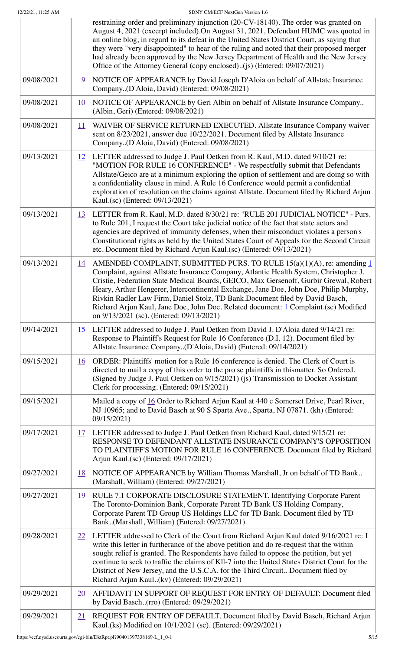|            |                   | restraining order and preliminary injunction (20-CV-18140). The order was granted on<br>August 4, 2021 (excerpt included). On August 31, 2021, Defendant HUMC was quoted in<br>an online blog, in regard to its defeat in the United States District Court, as saying that<br>they were "very disappointed" to hear of the ruling and noted that their proposed merger<br>had already been approved by the New Jersey Department of Health and the New Jersey<br>Office of the Attorney General (copy enclosed)(js) (Entered: 09/07/2021)                               |  |
|------------|-------------------|-------------------------------------------------------------------------------------------------------------------------------------------------------------------------------------------------------------------------------------------------------------------------------------------------------------------------------------------------------------------------------------------------------------------------------------------------------------------------------------------------------------------------------------------------------------------------|--|
| 09/08/2021 | 9                 | NOTICE OF APPEARANCE by David Joseph D'Aloia on behalf of Allstate Insurance<br>Company(D'Aloia, David) (Entered: 09/08/2021)                                                                                                                                                                                                                                                                                                                                                                                                                                           |  |
| 09/08/2021 | <u>10</u>         | NOTICE OF APPEARANCE by Geri Albin on behalf of Allstate Insurance Company<br>(Albin, Geri) (Entered: 09/08/2021)                                                                                                                                                                                                                                                                                                                                                                                                                                                       |  |
| 09/08/2021 | $\overline{11}$   | WAIVER OF SERVICE RETURNED EXECUTED. Allstate Insurance Company waiver<br>sent on 8/23/2021, answer due 10/22/2021. Document filed by Allstate Insurance<br>Company(D'Aloia, David) (Entered: 09/08/2021)                                                                                                                                                                                                                                                                                                                                                               |  |
| 09/13/2021 | $12 \overline{ }$ | LETTER addressed to Judge J. Paul Oetken from R. Kaul, M.D. dated 9/10/21 re:<br>"MOTION FOR RULE 16 CONFERENCE" - We respectfully submit that Defendants<br>Allstate/Geico are at a minimum exploring the option of settlement and are doing so with<br>a confidentiality clause in mind. A Rule 16 Conference would permit a confidential<br>exploration of resolution on the claims against Allstate. Document filed by Richard Arjun<br>Kaul.(sc) (Entered: 09/13/2021)                                                                                             |  |
| 09/13/2021 | <u>13</u>         | LETTER from R. Kaul, M.D. dated 8/30/21 re: "RULE 201 JUDICIAL NOTICE" - Purs.<br>to Rule 201, I request the Court take judicial notice of the fact that state actors and<br>agencies are deprived of immunity defenses, when their misconduct violates a person's<br>Constitutional rights as held by the United States Court of Appeals for the Second Circuit<br>etc. Document filed by Richard Arjun Kaul.(sc) (Entered: 09/13/2021)                                                                                                                                |  |
| 09/13/2021 | <u>14</u>         | AMENDED COMPLAINT, SUBMITTED PURS. TO RULE $15(a)(1)(A)$ , re: amending 1<br>Complaint, against Allstate Insurance Company, Atlantic Health System, Christopher J.<br>Cristie, Federation State Medical Boards, GEICO, Max Gersenoff, Gurbir Grewal, Robert<br>Heary, Arthur Hengerer, Intercontinental Exchange, Jane Doe, John Doe, Philip Murphy,<br>Rivkin Radler Law Firm, Daniel Stolz, TD Bank.Document filed by David Basch,<br>Richard Arjun Kaul, Jane Doe, John Doe. Related document: 1 Complaint.(sc) Modified<br>on 9/13/2021 (sc). (Entered: 09/13/2021) |  |
| 09/14/2021 | <u>15</u>         | LETTER addressed to Judge J. Paul Oetken from David J. D'Aloia dated 9/14/21 re:<br>Response to Plaintiff's Request for Rule 16 Conference (D.I. 12). Document filed by<br>Allstate Insurance Company(D'Aloia, David) (Entered: 09/14/2021)                                                                                                                                                                                                                                                                                                                             |  |
| 09/15/2021 | <u>16</u>         | ORDER: Plaintiffs' motion for a Rule 16 conference is denied. The Clerk of Court is<br>directed to mail a copy of this order to the pro se plaintiffs in thismatter. So Ordered.<br>(Signed by Judge J. Paul Oetken on 9/15/2021) (js) Transmission to Docket Assistant<br>Clerk for processing. (Entered: 09/15/2021)                                                                                                                                                                                                                                                  |  |
| 09/15/2021 |                   | Mailed a copy of 16 Order to Richard Arjun Kaul at 440 c Somerset Drive, Pearl River,<br>NJ 10965; and to David Basch at 90 S Sparta Ave., Sparta, NJ 07871. (kh) (Entered:<br>09/15/2021)                                                                                                                                                                                                                                                                                                                                                                              |  |
| 09/17/2021 | <u>17</u>         | LETTER addressed to Judge J. Paul Oetken from Richard Kaul, dated 9/15/21 re:<br>RESPONSE TO DEFENDANT ALLSTATE INSURANCE COMPANY'S OPPOSITION<br>TO PLAINTIFF'S MOTION FOR RULE 16 CONFERENCE. Document filed by Richard<br>Arjun Kaul.(sc) (Entered: 09/17/2021)                                                                                                                                                                                                                                                                                                      |  |
| 09/27/2021 | <u>18</u>         | NOTICE OF APPEARANCE by William Thomas Marshall, Jr on behalf of TD Bank<br>(Marshall, William) (Entered: 09/27/2021)                                                                                                                                                                                                                                                                                                                                                                                                                                                   |  |
| 09/27/2021 | <u>19</u>         | RULE 7.1 CORPORATE DISCLOSURE STATEMENT. Identifying Corporate Parent<br>The Toronto-Dominion Bank, Corporate Parent TD Bank US Holding Company,<br>Corporate Parent TD Group US Holdings LLC for TD Bank. Document filed by TD<br>Bank(Marshall, William) (Entered: 09/27/2021)                                                                                                                                                                                                                                                                                        |  |
| 09/28/2021 | 22                | LETTER addressed to Clerk of the Court from Richard Arjun Kaul dated 9/16/2021 re: I<br>write this letter in furtherance of the above petition and do re-request that the within<br>sought relief is granted. The Respondents have failed to oppose the petition, but yet<br>continue to seek to traffic the claims of Kll-7 into the United States District Court for the<br>District of New Jersey, and the U.S.C.A. for the Third Circuit Document filed by<br>Richard Arjun Kaul(kv) (Entered: 09/29/2021)                                                          |  |
| 09/29/2021 | 20                | AFFIDAVIT IN SUPPORT OF REQUEST FOR ENTRY OF DEFAULT: Document filed<br>by David Basch(rro) (Entered: 09/29/2021)                                                                                                                                                                                                                                                                                                                                                                                                                                                       |  |
| 09/29/2021 | 21                | REQUEST FOR ENTRY OF DEFAULT. Document filed by David Basch, Richard Arjun<br>Kaul.(ks) Modified on 10/1/2021 (sc). (Entered: 09/29/2021)                                                                                                                                                                                                                                                                                                                                                                                                                               |  |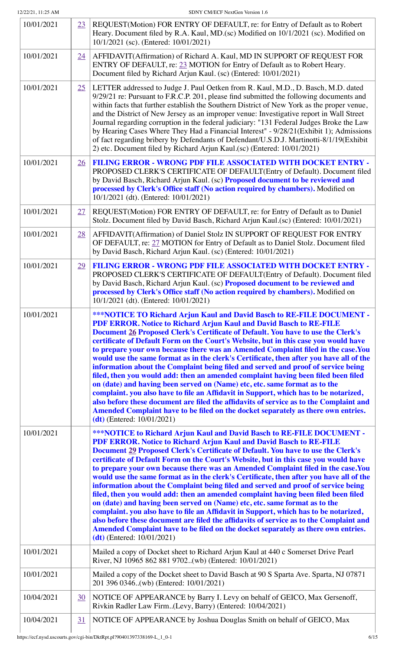| 10/01/2021 | 23        | REQUEST(Motion) FOR ENTRY OF DEFAULT, re: for Entry of Default as to Robert<br>Heary. Document filed by R.A. Kaul, MD.(sc) Modified on 10/1/2021 (sc). Modified on<br>10/1/2021 (sc). (Entered: 10/01/2021)                                                                                                                                                                                                                                                                                                                                                                                                                                                                                                                                                                                                                                                                                                                                                                                                                                                          |  |
|------------|-----------|----------------------------------------------------------------------------------------------------------------------------------------------------------------------------------------------------------------------------------------------------------------------------------------------------------------------------------------------------------------------------------------------------------------------------------------------------------------------------------------------------------------------------------------------------------------------------------------------------------------------------------------------------------------------------------------------------------------------------------------------------------------------------------------------------------------------------------------------------------------------------------------------------------------------------------------------------------------------------------------------------------------------------------------------------------------------|--|
| 10/01/2021 | 24        | AFFIDAVIT(Affirmation) of Richard A. Kaul, MD IN SUPPORT OF REQUEST FOR<br>ENTRY OF DEFAULT, re: 23 MOTION for Entry of Default as to Robert Heary.<br>Document filed by Richard Arjun Kaul. (sc) (Entered: 10/01/2021)                                                                                                                                                                                                                                                                                                                                                                                                                                                                                                                                                                                                                                                                                                                                                                                                                                              |  |
| 10/01/2021 | 25        | LETTER addressed to Judge J. Paul Oetken from R. Kaul, M.D., D. Basch, M.D. dated<br>9/29/21 re: Pursuant to F.R.C.P. 201, please find submitted the following documents and<br>within facts that further establish the Southern District of New York as the proper venue,<br>and the District of New Jersey as an improper venue: Investigative report in Wall Street<br>Journal regarding corruption in the federal judiciary: "131 Federal Judges Broke the Law<br>by Hearing Cases Where They Had a Financial Interest" - 9/28/21(Exhibit 1); Admissions<br>of fact regarding bribery by Defendants of Defendant/U.S.D.J. Martinotti-8/1/19(Exhibit<br>2) etc. Document filed by Richard Arjun Kaul.(sc) (Entered: 10/01/2021)                                                                                                                                                                                                                                                                                                                                   |  |
| 10/01/2021 | <u>26</u> | <b>FILING ERROR - WRONG PDF FILE ASSOCIATED WITH DOCKET ENTRY -</b><br>PROPOSED CLERK'S CERTIFICATE OF DEFAULT(Entry of Default). Document filed<br>by David Basch, Richard Arjun Kaul. (sc) Proposed document to be reviewed and<br>processed by Clerk's Office staff (No action required by chambers). Modified on<br>10/1/2021 (dt). (Entered: 10/01/2021)                                                                                                                                                                                                                                                                                                                                                                                                                                                                                                                                                                                                                                                                                                        |  |
| 10/01/2021 | 27        | REQUEST(Motion) FOR ENTRY OF DEFAULT, re: for Entry of Default as to Daniel<br>Stolz. Document filed by David Basch, Richard Arjun Kaul.(sc) (Entered: 10/01/2021)                                                                                                                                                                                                                                                                                                                                                                                                                                                                                                                                                                                                                                                                                                                                                                                                                                                                                                   |  |
| 10/01/2021 | 28        | AFFIDAVIT(Affirmation) of Daniel Stolz IN SUPPORT OF REQUEST FOR ENTRY<br>OF DEFAULT, re: 27 MOTION for Entry of Default as to Daniel Stolz. Document filed<br>by David Basch, Richard Arjun Kaul. (sc) (Entered: 10/01/2021)                                                                                                                                                                                                                                                                                                                                                                                                                                                                                                                                                                                                                                                                                                                                                                                                                                        |  |
| 10/01/2021 | <u>29</u> | <b>FILING ERROR - WRONG PDF FILE ASSOCIATED WITH DOCKET ENTRY -</b><br>PROPOSED CLERK'S CERTIFICATE OF DEFAULT(Entry of Default). Document filed<br>by David Basch, Richard Arjun Kaul. (sc) Proposed document to be reviewed and<br>processed by Clerk's Office staff (No action required by chambers). Modified on<br>10/1/2021 (dt). (Entered: 10/01/2021)                                                                                                                                                                                                                                                                                                                                                                                                                                                                                                                                                                                                                                                                                                        |  |
| 10/01/2021 |           | ***NOTICE TO Richard Arjun Kaul and David Basch to RE-FILE DOCUMENT -<br>PDF ERROR. Notice to Richard Arjun Kaul and David Basch to RE-FILE<br>Document 26 Proposed Clerk's Certificate of Default. You have to use the Clerk's<br>certificate of Default Form on the Court's Website, but in this case you would have<br>to prepare your own because there was an Amended Complaint filed in the case.You<br>would use the same format as in the clerk's Certificate, then after you have all of the<br>information about the Complaint being filed and served and proof of service being<br>filed, then you would add: then an amended complaint having been filed been filed<br>on (date) and having been served on (Name) etc, etc. same format as to the<br>complaint. you also have to file an Affidavit in Support, which has to be notarized,<br>also before these document are filed the affidavits of service as to the Complaint and<br>Amended Complaint have to be filed on the docket separately as there own entries.<br>$(dt)$ (Entered: 10/01/2021) |  |
| 10/01/2021 |           | ***NOTICE to Richard Arjun Kaul and David Basch to RE-FILE DOCUMENT -<br>PDF ERROR. Notice to Richard Arjun Kaul and David Basch to RE-FILE<br>Document 29 Proposed Clerk's Certificate of Default. You have to use the Clerk's<br>certificate of Default Form on the Court's Website, but in this case you would have<br>to prepare your own because there was an Amended Complaint filed in the case.You<br>would use the same format as in the clerk's Certificate, then after you have all of the<br>information about the Complaint being filed and served and proof of service being<br>filed, then you would add: then an amended complaint having been filed been filed<br>on (date) and having been served on (Name) etc, etc. same format as to the<br>complaint. you also have to file an Affidavit in Support, which has to be notarized,<br>also before these document are filed the affidavits of service as to the Complaint and<br>Amended Complaint have to be filed on the docket separately as there own entries.<br>$(dt)$ (Entered: 10/01/2021) |  |
| 10/01/2021 |           | Mailed a copy of Docket sheet to Richard Arjun Kaul at 440 c Somerset Drive Pearl<br>River, NJ 10965 862 881 9702(wb) (Entered: 10/01/2021)                                                                                                                                                                                                                                                                                                                                                                                                                                                                                                                                                                                                                                                                                                                                                                                                                                                                                                                          |  |
| 10/01/2021 |           | Mailed a copy of the Docket sheet to David Basch at 90 S Sparta Ave. Sparta, NJ 07871<br>201 396 0346(wb) (Entered: 10/01/2021)                                                                                                                                                                                                                                                                                                                                                                                                                                                                                                                                                                                                                                                                                                                                                                                                                                                                                                                                      |  |
| 10/04/2021 | 30        | NOTICE OF APPEARANCE by Barry I. Levy on behalf of GEICO, Max Gersenoff,<br>Rivkin Radler Law Firm(Levy, Barry) (Entered: 10/04/2021)                                                                                                                                                                                                                                                                                                                                                                                                                                                                                                                                                                                                                                                                                                                                                                                                                                                                                                                                |  |
| 10/04/2021 | 31        | NOTICE OF APPEARANCE by Joshua Douglas Smith on behalf of GEICO, Max                                                                                                                                                                                                                                                                                                                                                                                                                                                                                                                                                                                                                                                                                                                                                                                                                                                                                                                                                                                                 |  |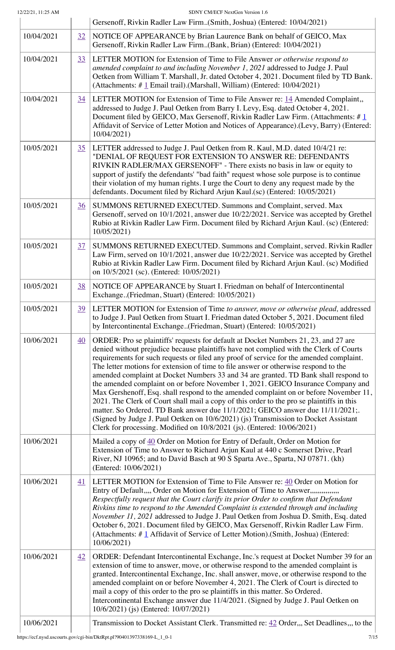| 12/22/21, 11:25 AM |                  | SDNY CM/ECF NextGen Version 1.6<br>Gersenoff, Rivkin Radler Law Firm(Smith, Joshua) (Entered: 10/04/2021)                                                                                                                                                                                                                                                                                                                                                                                                                                                                                                                                                                                                                                                                                                                                                                                                                                                                             |  |  |  |
|--------------------|------------------|---------------------------------------------------------------------------------------------------------------------------------------------------------------------------------------------------------------------------------------------------------------------------------------------------------------------------------------------------------------------------------------------------------------------------------------------------------------------------------------------------------------------------------------------------------------------------------------------------------------------------------------------------------------------------------------------------------------------------------------------------------------------------------------------------------------------------------------------------------------------------------------------------------------------------------------------------------------------------------------|--|--|--|
| 10/04/2021         | 32               | NOTICE OF APPEARANCE by Brian Laurence Bank on behalf of GEICO, Max<br>Gersenoff, Rivkin Radler Law Firm(Bank, Brian) (Entered: 10/04/2021)                                                                                                                                                                                                                                                                                                                                                                                                                                                                                                                                                                                                                                                                                                                                                                                                                                           |  |  |  |
| 10/04/2021         | 33               | LETTER MOTION for Extension of Time to File Answer or otherwise respond to<br>amended complaint to and including November 1, 2021 addressed to Judge J. Paul<br>Oetken from William T. Marshall, Jr. dated October 4, 2021. Document filed by TD Bank.<br>(Attachments: $\#$ 1 Email trail). (Marshall, William) (Entered: 10/04/2021)                                                                                                                                                                                                                                                                                                                                                                                                                                                                                                                                                                                                                                                |  |  |  |
| 10/04/2021         | 34               | LETTER MOTION for Extension of Time to File Answer re: 14 Amended Complaint,<br>addressed to Judge J. Paul Oetken from Barry I. Levy, Esq. dated October 4, 2021.<br>Document filed by GEICO, Max Gersenoff, Rivkin Radler Law Firm. (Attachments: #1<br>Affidavit of Service of Letter Motion and Notices of Appearance).(Levy, Barry) (Entered:<br>10/04/2021)                                                                                                                                                                                                                                                                                                                                                                                                                                                                                                                                                                                                                      |  |  |  |
| 10/05/2021         | 35               | LETTER addressed to Judge J. Paul Oetken from R. Kaul, M.D. dated 10/4/21 re:<br>"DENIAL OF REQUEST FOR EXTENSION TO ANSWER RE: DEFENDANTS<br>RIVKIN RADLER/MAX GERSENOFF" - There exists no basis in law or equity to<br>support of justify the defendants' "bad faith" request whose sole purpose is to continue<br>their violation of my human rights. I urge the Court to deny any request made by the<br>defendants. Document filed by Richard Arjun Kaul.(sc) (Entered: 10/05/2021)                                                                                                                                                                                                                                                                                                                                                                                                                                                                                             |  |  |  |
| 10/05/2021         | $\overline{36}$  | SUMMONS RETURNED EXECUTED. Summons and Complaint, served. Max<br>Gersenoff, served on 10/1/2021, answer due 10/22/2021. Service was accepted by Grethel<br>Rubio at Rivkin Radler Law Firm. Document filed by Richard Arjun Kaul. (sc) (Entered:<br>10/05/2021)                                                                                                                                                                                                                                                                                                                                                                                                                                                                                                                                                                                                                                                                                                                       |  |  |  |
| 10/05/2021         | 37               | SUMMONS RETURNED EXECUTED. Summons and Complaint, served. Rivkin Radler<br>Law Firm, served on 10/1/2021, answer due 10/22/2021. Service was accepted by Grethel<br>Rubio at Rivkin Radler Law Firm. Document filed by Richard Arjun Kaul. (sc) Modified<br>on 10/5/2021 (sc). (Entered: 10/05/2021)                                                                                                                                                                                                                                                                                                                                                                                                                                                                                                                                                                                                                                                                                  |  |  |  |
| 10/05/2021         | <u>38</u>        | NOTICE OF APPEARANCE by Stuart I. Friedman on behalf of Intercontinental<br>Exchange(Friedman, Stuart) (Entered: 10/05/2021)                                                                                                                                                                                                                                                                                                                                                                                                                                                                                                                                                                                                                                                                                                                                                                                                                                                          |  |  |  |
| 10/05/2021         | <u>39</u>        | LETTER MOTION for Extension of Time to answer, move or otherwise plead, addressed<br>to Judge J. Paul Oetken from Stuart I. Friedman dated October 5, 2021. Document filed<br>by Intercontinental Exchange(Friedman, Stuart) (Entered: 10/05/2021)                                                                                                                                                                                                                                                                                                                                                                                                                                                                                                                                                                                                                                                                                                                                    |  |  |  |
| 10/06/2021         | $\underline{40}$ | ORDER: Pro se plaintiffs' requests for default at Docket Numbers 21, 23, and 27 are<br>denied without prejudice because plaintiffs have not complied with the Clerk of Courts<br>requirements for such requests or filed any proof of service for the amended complaint.<br>The letter motions for extension of time to file answer or otherwise respond to the<br>amended complaint at Docket Numbers 33 and 34 are granted. TD Bank shall respond to<br>the amended complaint on or before November 1, 2021. GEICO Insurance Company and<br>Max Gershenoff, Esq. shall respond to the amended complaint on or before November 11,<br>2021. The Clerk of Court shall mail a copy of this order to the pro se plaintiffs in this<br>matter. So Ordered. TD Bank answer due 11/1/2021; GEICO answer due 11/11/2021;.<br>(Signed by Judge J. Paul Oetken on 10/6/2021) (js) Transmission to Docket Assistant<br>Clerk for processing. Modified on 10/8/2021 (js). (Entered: 10/06/2021) |  |  |  |
| 10/06/2021         |                  | Mailed a copy of 40 Order on Motion for Entry of Default, Order on Motion for<br>Extension of Time to Answer to Richard Arjun Kaul at 440 c Somerset Drive, Pearl<br>River, NJ 10965; and to David Basch at 90 S Sparta Ave., Sparta, NJ 07871. (kh)<br>(Entered: 10/06/2021)                                                                                                                                                                                                                                                                                                                                                                                                                                                                                                                                                                                                                                                                                                         |  |  |  |
| 10/06/2021         | 41               | LETTER MOTION for Extension of Time to File Answer re: 40 Order on Motion for<br>Entry of Default,,,, Order on Motion for Extension of Time to Answer,,,,,,,,,,,,,,<br>Respectfully request that the Court clarify its prior Order to confirm that Defendant<br>Rivkins time to respond to the Amended Complaint is extended through and including<br>November 11, 2021 addressed to Judge J. Paul Oetken from Joshua D. Smith, Esq. dated<br>October 6, 2021. Document filed by GEICO, Max Gersenoff, Rivkin Radler Law Firm.<br>(Attachments: #1 Affidavit of Service of Letter Motion). (Smith, Joshua) (Entered:<br>10/06/2021)                                                                                                                                                                                                                                                                                                                                                   |  |  |  |
| 10/06/2021         | 42               | ORDER: Defendant Intercontinental Exchange, Inc.'s request at Docket Number 39 for an<br>extension of time to answer, move, or otherwise respond to the amended complaint is<br>granted. Intercontinental Exchange, Inc. shall answer, move, or otherwise respond to the<br>amended complaint on or before November 4, 2021. The Clerk of Court is directed to<br>mail a copy of this order to the pro se plaintiffs in this matter. So Ordered.<br>Intercontinental Exchange answer due 11/4/2021. (Signed by Judge J. Paul Oetken on<br>10/6/2021) (js) (Entered: 10/07/2021)                                                                                                                                                                                                                                                                                                                                                                                                       |  |  |  |
| 10/06/2021         |                  | Transmission to Docket Assistant Clerk. Transmitted re: 42 Order, Set Deadlines, to the                                                                                                                                                                                                                                                                                                                                                                                                                                                                                                                                                                                                                                                                                                                                                                                                                                                                                               |  |  |  |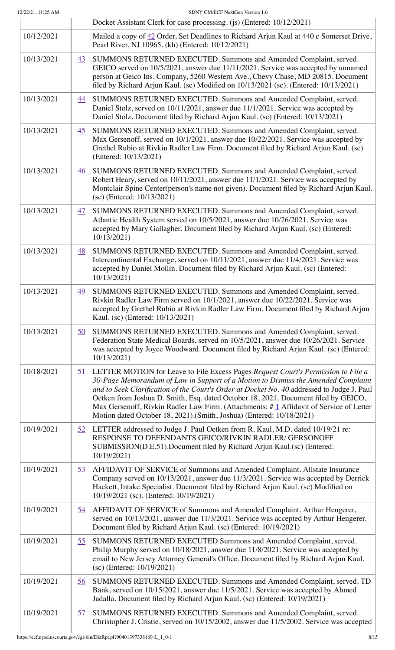|            |                  | Docket Assistant Clerk for case processing. (js) (Entered: 10/12/2021)                                                                                                                                                                                                                                                                                                                                                                                                                                                       |  |  |
|------------|------------------|------------------------------------------------------------------------------------------------------------------------------------------------------------------------------------------------------------------------------------------------------------------------------------------------------------------------------------------------------------------------------------------------------------------------------------------------------------------------------------------------------------------------------|--|--|
| 10/12/2021 |                  | Mailed a copy of 42 Order, Set Deadlines to Richard Arjun Kaul at 440 c Somerset Drive,<br>Pearl River, NJ 10965. (kh) (Entered: 10/12/2021)                                                                                                                                                                                                                                                                                                                                                                                 |  |  |
| 10/13/2021 | 43               | SUMMONS RETURNED EXECUTED. Summons and Amended Complaint, served.<br>GEICO served on 10/5/2021, answer due 11/11/2021. Service was accepted by unnamed<br>person at Geico Ins. Company, 5260 Western Ave., Chevy Chase, MD 20815. Document<br>filed by Richard Arjun Kaul. (sc) Modified on 10/13/2021 (sc). (Entered: 10/13/2021)                                                                                                                                                                                           |  |  |
| 10/13/2021 | 44               | SUMMONS RETURNED EXECUTED. Summons and Amended Complaint, served.<br>Daniel Stolz, served on 10/11/2021, answer due 11/1/2021. Service was accepted by<br>Daniel Stolz. Document filed by Richard Arjun Kaul. (sc) (Entered: 10/13/2021)                                                                                                                                                                                                                                                                                     |  |  |
| 10/13/2021 | 45               | SUMMONS RETURNED EXECUTED. Summons and Amended Complaint, served.<br>Max Gersenoff, served on 10/1/2021, answer due 10/22/2021. Service was accepted by<br>Grethel Rubio at Rivkin Radler Law Firm. Document filed by Richard Arjun Kaul. (sc)<br>(Entered: 10/13/2021)                                                                                                                                                                                                                                                      |  |  |
| 10/13/2021 | $\overline{46}$  | SUMMONS RETURNED EXECUTED. Summons and Amended Complaint, served.<br>Robert Heary, served on 10/11/2021, answer due 11/1/2021. Service was accepted by<br>Montclair Spine Center(person's name not given). Document filed by Richard Arjun Kaul.<br>(sc) (Entered: 10/13/2021)                                                                                                                                                                                                                                               |  |  |
| 10/13/2021 | 47               | SUMMONS RETURNED EXECUTED. Summons and Amended Complaint, served.<br>Atlantic Health System served on 10/5/2021, answer due 10/26/2021. Service was<br>accepted by Mary Gallagher. Document filed by Richard Arjun Kaul. (sc) (Entered:<br>10/13/2021)                                                                                                                                                                                                                                                                       |  |  |
| 10/13/2021 | 48               | SUMMONS RETURNED EXECUTED. Summons and Amended Complaint, served.<br>Intercontinental Exchange, served on 10/11/2021, answer due 11/4/2021. Service was<br>accepted by Daniel Mollin. Document filed by Richard Arjun Kaul. (sc) (Entered:<br>10/13/2021)                                                                                                                                                                                                                                                                    |  |  |
| 10/13/2021 | 49               | SUMMONS RETURNED EXECUTED. Summons and Amended Complaint, served.<br>Rivkin Radler Law Firm served on 10/1/2021, answer due 10/22/2021. Service was<br>accepted by Grethel Rubio at Rivkin Radler Law Firm. Document filed by Richard Arjun<br>Kaul. (sc) (Entered: 10/13/2021)                                                                                                                                                                                                                                              |  |  |
| 10/13/2021 | $\underline{50}$ | SUMMONS RETURNED EXECUTED. Summons and Amended Complaint, served.<br>Federation State Medical Boards, served on 10/5/2021, answer due 10/26/2021. Service<br>was accepted by Joyce Woodward. Document filed by Richard Arjun Kaul. (sc) (Entered:<br>10/13/2021)                                                                                                                                                                                                                                                             |  |  |
| 10/18/2021 | <u>51</u>        | LETTER MOTION for Leave to File Excess Pages Request Court's Permission to File a<br>30-Page Memorandum of Law in Support of a Motion to Dismiss the Amended Complaint<br>and to Seek Clarification of the Court's Order at Docket No. 40 addressed to Judge J. Paul<br>Oetken from Joshua D. Smith, Esq. dated October 18, 2021. Document filed by GEICO,<br>Max Gersenoff, Rivkin Radler Law Firm. (Attachments: #1 Affidavit of Service of Letter<br>Motion dated October 18, 2021).(Smith, Joshua) (Entered: 10/18/2021) |  |  |
| 10/19/2021 | 52               | LETTER addressed to Judge J. Paul Oetken from R. Kaul, M.D. dated 10/19/21 re:<br>RESPONSE TO DEFENDANTS GEICO/RIVKIN RADLER/ GERSONOFF<br>SUBMISSION(D.E.51).Document filed by Richard Arjun Kaul.(sc) (Entered:<br>10/19/2021)                                                                                                                                                                                                                                                                                             |  |  |
| 10/19/2021 | 53               | AFFIDAVIT OF SERVICE of Summons and Amended Complaint. Allstate Insurance<br>Company served on 10/13/2021, answer due 11/3/2021. Service was accepted by Derrick<br>Hackett, Intake Specialist. Document filed by Richard Arjun Kaul. (sc) Modified on<br>10/19/2021 (sc). (Entered: 10/19/2021)                                                                                                                                                                                                                             |  |  |
| 10/19/2021 | <u>54</u>        | AFFIDAVIT OF SERVICE of Summons and Amended Complaint. Arthur Hengerer,<br>served on 10/13/2021, answer due 11/3/2021. Service was accepted by Arthur Hengerer.<br>Document filed by Richard Arjun Kaul. (sc) (Entered: 10/19/2021)                                                                                                                                                                                                                                                                                          |  |  |
| 10/19/2021 | 55               | SUMMONS RETURNED EXECUTED Summons and Amended Complaint, served.<br>Philip Murphy served on 10/18/2021, answer due 11/8/2021. Service was accepted by<br>email to New Jersey Attorney General's Office. Document filed by Richard Arjun Kaul.<br>$(sc)$ (Entered: $10/19/2021$ )                                                                                                                                                                                                                                             |  |  |
| 10/19/2021 | <u>56</u>        | SUMMONS RETURNED EXECUTED. Summons and Amended Complaint, served. TD<br>Bank, served on 10/15/2021, answer due 11/5/2021. Service was accepted by Ahmed<br>Jadalla. Document filed by Richard Arjun Kaul. (sc) (Entered: 10/19/2021)                                                                                                                                                                                                                                                                                         |  |  |
| 10/19/2021 | 57               | SUMMONS RETURNED EXECUTED. Summons and Amended Complaint, served.<br>Christopher J. Cristie, served on 10/15/2002, answer due 11/5/2002. Service was accepted                                                                                                                                                                                                                                                                                                                                                                |  |  |

I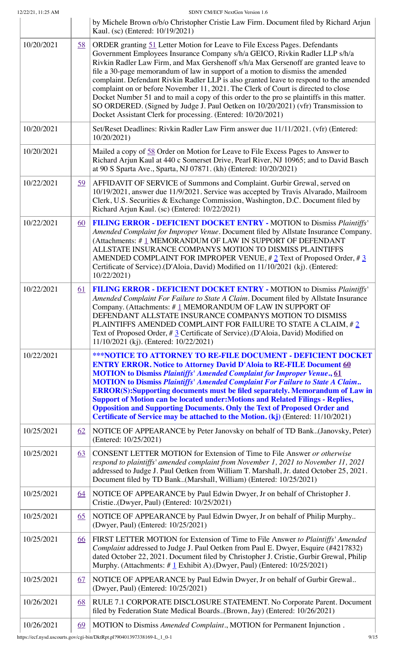|            |           | by Michele Brown o/b/o Christopher Cristie Law Firm. Document filed by Richard Arjun<br>Kaul. (sc) (Entered: 10/19/2021)                                                                                                                                                                                                                                                                                                                                                                                                                                                                                                                                                                                                                                            |  |  |
|------------|-----------|---------------------------------------------------------------------------------------------------------------------------------------------------------------------------------------------------------------------------------------------------------------------------------------------------------------------------------------------------------------------------------------------------------------------------------------------------------------------------------------------------------------------------------------------------------------------------------------------------------------------------------------------------------------------------------------------------------------------------------------------------------------------|--|--|
| 10/20/2021 | 58        | ORDER granting 51 Letter Motion for Leave to File Excess Pages. Defendants<br>Government Employees Insurance Company s/h/a GEICO, Rivkin Radler LLP s/h/a<br>Rivkin Radler Law Firm, and Max Gershenoff s/h/a Max Gersenoff are granted leave to<br>file a 30-page memorandum of law in support of a motion to dismiss the amended<br>complaint. Defendant Rivkin Radler LLP is also granted leave to respond to the amended<br>complaint on or before November 11, 2021. The Clerk of Court is directed to close<br>Docket Number 51 and to mail a copy of this order to the pro se plaintiffs in this matter.<br>SO ORDERED. (Signed by Judge J. Paul Oetken on 10/20/2021) (vfr) Transmission to<br>Docket Assistant Clerk for processing. (Entered: 10/20/2021) |  |  |
| 10/20/2021 |           | Set/Reset Deadlines: Rivkin Radler Law Firm answer due 11/11/2021. (vfr) (Entered:<br>10/20/2021)                                                                                                                                                                                                                                                                                                                                                                                                                                                                                                                                                                                                                                                                   |  |  |
| 10/20/2021 |           | Mailed a copy of 58 Order on Motion for Leave to File Excess Pages to Answer to<br>Richard Arjun Kaul at 440 c Somerset Drive, Pearl River, NJ 10965; and to David Basch<br>at 90 S Sparta Ave., Sparta, NJ 07871. (kh) (Entered: 10/20/2021)                                                                                                                                                                                                                                                                                                                                                                                                                                                                                                                       |  |  |
| 10/22/2021 | <u>59</u> | AFFIDAVIT OF SERVICE of Summons and Complaint. Gurbir Grewal, served on<br>10/19/2021, answer due 11/9/2021. Service was accepted by Travis Alvarado, Mailroom<br>Clerk, U.S. Securities & Exchange Commission, Washington, D.C. Document filed by<br>Richard Arjun Kaul. (sc) (Entered: 10/22/2021)                                                                                                                                                                                                                                                                                                                                                                                                                                                                |  |  |
| 10/22/2021 | <u>60</u> | FILING ERROR - DEFICIENT DOCKET ENTRY - MOTION to Dismiss Plaintiffs'<br>Amended Complaint for Improper Venue. Document filed by Allstate Insurance Company.<br>(Attachments: #1 MEMORANDUM OF LAW IN SUPPORT OF DEFENDANT<br>ALLSTATE INSURANCE COMPANYS MOTION TO DISMISS PLAINTIFFS<br>AMENDED COMPLAINT FOR IMPROPER VENUE, $\# 2$ Text of Proposed Order, $\# 3$<br>Certificate of Service).(D'Aloia, David) Modified on 11/10/2021 (kj). (Entered:<br>10/22/2021)                                                                                                                                                                                                                                                                                             |  |  |
| 10/22/2021 | <u>61</u> | FILING ERROR - DEFICIENT DOCKET ENTRY - MOTION to Dismiss Plaintiffs'<br>Amended Complaint For Failure to State A Claim. Document filed by Allstate Insurance<br>Company. (Attachments: #1 MEMORANDUM OF LAW IN SUPPORT OF<br>DEFENDANT ALLSTATE INSURANCE COMPANYS MOTION TO DISMISS<br>PLAINTIFFS AMENDED COMPLAINT FOR FAILURE TO STATE A CLAIM, #2<br>Text of Proposed Order, # 3 Certificate of Service).(D'Aloia, David) Modified on<br>11/10/2021 (kj). (Entered: 10/22/2021)                                                                                                                                                                                                                                                                                |  |  |
| 10/22/2021 |           | <b>***NOTICE TO ATTORNEY TO RE-FILE DOCUMENT - DEFICIENT DOCKET</b><br><b>ENTRY ERROR. Notice to Attorney David D'Aloia to RE-FILE Document 60</b><br><b>MOTION</b> to Dismiss Plaintiffs' Amended Complaint for Improper Venue., 61<br><b>MOTION</b> to Dismiss Plaintiffs' Amended Complaint For Failure to State A Claim<br><b>ERROR(S):Supporting documents must be filed separately. Memorandum of Law in</b><br><b>Support of Motion can be located under: Motions and Related Filings - Replies,</b><br><b>Opposition and Supporting Documents. Only the Text of Proposed Order and</b><br>Certificate of Service may be attached to the Motion. (kj) (Entered: 11/10/2021)                                                                                  |  |  |
| 10/25/2021 | 62        | NOTICE OF APPEARANCE by Peter Janovsky on behalf of TD Bank. (Janovsky, Peter)<br>(Entered: 10/25/2021)                                                                                                                                                                                                                                                                                                                                                                                                                                                                                                                                                                                                                                                             |  |  |
| 10/25/2021 | 63        | <b>CONSENT LETTER MOTION for Extension of Time to File Answer or otherwise</b><br>respond to plaintiffs' amended complaint from November 1, 2021 to November 11, 2021<br>addressed to Judge J. Paul Oetken from William T. Marshall, Jr. dated October 25, 2021.<br>Document filed by TD Bank(Marshall, William) (Entered: 10/25/2021)                                                                                                                                                                                                                                                                                                                                                                                                                              |  |  |
| 10/25/2021 | <u>64</u> | NOTICE OF APPEARANCE by Paul Edwin Dwyer, Jr on behalf of Christopher J.<br>Cristie(Dwyer, Paul) (Entered: 10/25/2021)                                                                                                                                                                                                                                                                                                                                                                                                                                                                                                                                                                                                                                              |  |  |
| 10/25/2021 | 65        | NOTICE OF APPEARANCE by Paul Edwin Dwyer, Jr on behalf of Philip Murphy<br>(Dwyer, Paul) (Entered: 10/25/2021)                                                                                                                                                                                                                                                                                                                                                                                                                                                                                                                                                                                                                                                      |  |  |
| 10/25/2021 | <u>66</u> | FIRST LETTER MOTION for Extension of Time to File Answer to Plaintiffs' Amended<br>Complaint addressed to Judge J. Paul Oetken from Paul E. Dwyer, Esquire (#4217832)<br>dated October 22, 2021. Document filed by Christopher J. Cristie, Gurbir Grewal, Philip<br>Murphy. (Attachments: $\# \mathbf{1}$ Exhibit A).(Dwyer, Paul) (Entered: 10/25/2021)                                                                                                                                                                                                                                                                                                                                                                                                            |  |  |
| 10/25/2021 | <u>67</u> | NOTICE OF APPEARANCE by Paul Edwin Dwyer, Jr on behalf of Gurbir Grewal<br>(Dwyer, Paul) (Entered: 10/25/2021)                                                                                                                                                                                                                                                                                                                                                                                                                                                                                                                                                                                                                                                      |  |  |
| 10/26/2021 | 68        | RULE 7.1 CORPORATE DISCLOSURE STATEMENT. No Corporate Parent. Document<br>filed by Federation State Medical Boards(Brown, Jay) (Entered: 10/26/2021)                                                                                                                                                                                                                                                                                                                                                                                                                                                                                                                                                                                                                |  |  |
| 10/26/2021 | 69        | MOTION to Dismiss Amended Complaint., MOTION for Permanent Injunction.                                                                                                                                                                                                                                                                                                                                                                                                                                                                                                                                                                                                                                                                                              |  |  |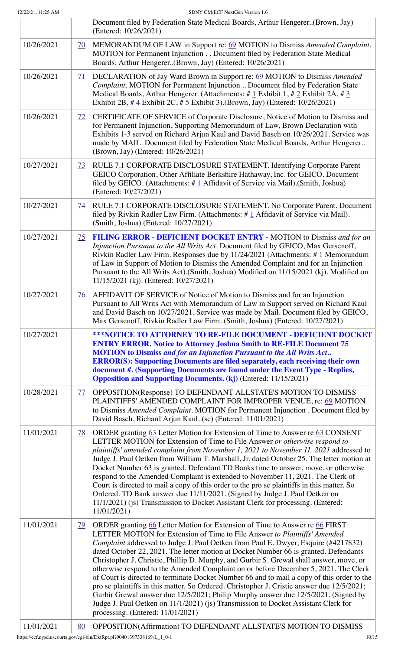|            |                 | Document filed by Federation State Medical Boards, Arthur Hengerer(Brown, Jay)<br>(Entered: 10/26/2021)                                                                                                                                                                                                                                                                                                                                                                                                                                                                                                                                                                                                                                                                                                                                                                                                                               |  |  |
|------------|-----------------|---------------------------------------------------------------------------------------------------------------------------------------------------------------------------------------------------------------------------------------------------------------------------------------------------------------------------------------------------------------------------------------------------------------------------------------------------------------------------------------------------------------------------------------------------------------------------------------------------------------------------------------------------------------------------------------------------------------------------------------------------------------------------------------------------------------------------------------------------------------------------------------------------------------------------------------|--|--|
| 10/26/2021 | <u>70</u>       | MEMORANDUM OF LAW in Support re: 69 MOTION to Dismiss Amended Complaint.<br>MOTION for Permanent Injunction Document filed by Federation State Medical<br>Boards, Arthur Hengerer(Brown, Jay) (Entered: 10/26/2021)                                                                                                                                                                                                                                                                                                                                                                                                                                                                                                                                                                                                                                                                                                                   |  |  |
| 10/26/2021 | 71              | DECLARATION of Jay Ward Brown in Support re: 69 MOTION to Dismiss Amended<br>Complaint. MOTION for Permanent Injunction  Document filed by Federation State<br>Medical Boards, Arthur Hengerer. (Attachments: # $1$ Exhibit 1, # $2$ Exhibit 2A, # $3$<br>Exhibit 2B, # $4$ Exhibit 2C, # $5$ Exhibit 3).(Brown, Jay) (Entered: 10/26/2021)                                                                                                                                                                                                                                                                                                                                                                                                                                                                                                                                                                                           |  |  |
| 10/26/2021 | $\overline{12}$ | CERTIFICATE OF SERVICE of Corporate Disclosure, Notice of Motion to Dismiss and<br>for Permanent Injunction, Supporting Memorandum of Law, Brown Declaration with<br>Exhibits 1-3 served on Richard Arjun Kaul and David Basch on 10/26/2021. Service was<br>made by MAIL. Document filed by Federation State Medical Boards, Arthur Hengerer<br>(Brown, Jay) (Entered: 10/26/2021)                                                                                                                                                                                                                                                                                                                                                                                                                                                                                                                                                   |  |  |
| 10/27/2021 | $\overline{23}$ | RULE 7.1 CORPORATE DISCLOSURE STATEMENT. Identifying Corporate Parent<br>GEICO Corporation, Other Affiliate Berkshire Hathaway, Inc. for GEICO. Document<br>filed by GEICO. (Attachments: $\#$ 1 Affidavit of Service via Mail).(Smith, Joshua)<br>(Entered: 10/27/2021)                                                                                                                                                                                                                                                                                                                                                                                                                                                                                                                                                                                                                                                              |  |  |
| 10/27/2021 | <u>74</u>       | RULE 7.1 CORPORATE DISCLOSURE STATEMENT. No Corporate Parent. Document<br>filed by Rivkin Radler Law Firm. (Attachments: $\# \underline{1}$ Affidavit of Service via Mail).<br>(Smith, Joshua) (Entered: 10/27/2021)                                                                                                                                                                                                                                                                                                                                                                                                                                                                                                                                                                                                                                                                                                                  |  |  |
| 10/27/2021 | 75              | FILING ERROR - DEFICIENT DOCKET ENTRY - MOTION to Dismiss and for an<br>Injunction Pursuant to the All Writs Act. Document filed by GEICO, Max Gersenoff,<br>Rivkin Radler Law Firm. Responses due by $11/24/2021$ (Attachments: #1 Memorandum<br>of Law in Support of Motion to Dismiss the Amended Complaint and for an Injunction<br>Pursuant to the All Writs Act).(Smith, Joshua) Modified on 11/15/2021 (kj). Modified on<br>11/15/2021 (kj). (Entered: 10/27/2021)                                                                                                                                                                                                                                                                                                                                                                                                                                                             |  |  |
| 10/27/2021 | <u>76</u>       | AFFIDAVIT OF SERVICE of Notice of Motion to Dismiss and for an Injunction<br>Pursuant to All Writs Act with Memorandum of Law in Support served on Richard Kaul<br>and David Basch on 10/27/2021. Service was made by Mail. Document filed by GEICO,<br>Max Gersenoff, Rivkin Radler Law Firm(Smith, Joshua) (Entered: 10/27/2021)                                                                                                                                                                                                                                                                                                                                                                                                                                                                                                                                                                                                    |  |  |
| 10/27/2021 |                 | <b>***NOTICE TO ATTORNEY TO RE-FILE DOCUMENT - DEFICIENT DOCKET</b><br><b>ENTRY ERROR. Notice to Attorney Joshua Smith to RE-FILE Document 75</b><br><b>MOTION</b> to Dismiss and for an Injunction Pursuant to the All Writs Act<br><b>ERROR(S): Supporting Documents are filed separately, each receiving their own</b><br>document #. (Supporting Documents are found under the Event Type - Replies,<br><b>Opposition and Supporting Documents. (kj) (Entered: 11/15/2021)</b>                                                                                                                                                                                                                                                                                                                                                                                                                                                    |  |  |
| 10/28/2021 | <u>77</u>       | OPPOSITION(Response) TO DEFENDANT ALLSTATE'S MOTION TO DISMISS<br>PLAINTIFFS' AMENDED COMPLAINT FOR IMPROPER VENUE, re: 69 MOTION<br>to Dismiss Amended Complaint. MOTION for Permanent Injunction . Document filed by<br>David Basch, Richard Arjun Kaul(sc) (Entered: 11/01/2021)                                                                                                                                                                                                                                                                                                                                                                                                                                                                                                                                                                                                                                                   |  |  |
| 11/01/2021 | <u>78</u>       | ORDER granting 63 Letter Motion for Extension of Time to Answer re 63 CONSENT<br>LETTER MOTION for Extension of Time to File Answer or otherwise respond to<br>plaintiffs' amended complaint from November 1, 2021 to November 11, 2021 addressed to<br>Judge J. Paul Oetken from William T. Marshall, Jr. dated October 25. The letter motion at<br>Docket Number 63 is granted. Defendant TD Banks time to answer, move, or otherwise<br>respond to the Amended Complaint is extended to November 11, 2021. The Clerk of<br>Court is directed to mail a copy of this order to the pro se plaintiffs in this matter. So<br>Ordered. TD Bank answer due 11/11/2021. (Signed by Judge J. Paul Oetken on<br>11/1/2021) (js) Transmission to Docket Assistant Clerk for processing. (Entered:<br>11/01/2021)                                                                                                                             |  |  |
| 11/01/2021 | <u>79</u>       | ORDER granting 66 Letter Motion for Extension of Time to Answer re 66 FIRST<br>LETTER MOTION for Extension of Time to File Answer to Plaintiffs' Amended<br>Complaint addressed to Judge J. Paul Oetken from Paul E. Dwyer, Esquire (#4217832)<br>dated October 22, 2021. The letter motion at Docket Number 66 is granted. Defendants<br>Christopher J. Christie, Phillip D. Murphy, and Gurbir S. Grewal shall answer, move, or<br>otherwise respond to the Amended Complaint on or before December 5, 2021. The Clerk<br>of Court is directed to terminate Docket Number 66 and to mail a copy of this order to the<br>pro se plaintiffs in this matter. So Ordered. Christopher J. Cristie answer due 12/5/2021;<br>Gurbir Grewal answer due 12/5/2021; Philip Murphy answer due 12/5/2021. (Signed by<br>Judge J. Paul Oetken on 11/1/2021) (js) Transmission to Docket Assistant Clerk for<br>processing. (Entered: 11/01/2021) |  |  |
| 11/01/2021 | 80              | OPPOSITION(Affirmation) TO DEFENDANT ALLSTATE'S MOTION TO DISMISS                                                                                                                                                                                                                                                                                                                                                                                                                                                                                                                                                                                                                                                                                                                                                                                                                                                                     |  |  |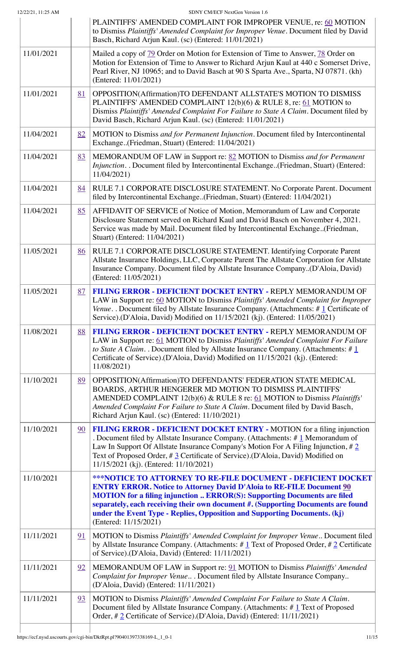|            |    | PLAINTIFFS' AMENDED COMPLAINT FOR IMPROPER VENUE, re: 60 MOTION<br>to Dismiss Plaintiffs' Amended Complaint for Improper Venue. Document filed by David<br>Basch, Richard Arjun Kaul. (sc) (Entered: 11/01/2021)                                                                                                                                                                                                                |  |  |
|------------|----|---------------------------------------------------------------------------------------------------------------------------------------------------------------------------------------------------------------------------------------------------------------------------------------------------------------------------------------------------------------------------------------------------------------------------------|--|--|
| 11/01/2021 |    | Mailed a copy of 79 Order on Motion for Extension of Time to Answer, 78 Order on<br>Motion for Extension of Time to Answer to Richard Arjun Kaul at 440 c Somerset Drive,<br>Pearl River, NJ 10965; and to David Basch at 90 S Sparta Ave., Sparta, NJ 07871. (kh)<br>(Entered: 11/01/2021)                                                                                                                                     |  |  |
| 11/01/2021 | 81 | OPPOSITION(Affirmation)TO DEFENDANT ALLSTATE'S MOTION TO DISMISS<br>PLAINTIFFS' AMENDED COMPLAINT 12(b)(6) & RULE 8, re: 61 MOTION to<br>Dismiss Plaintiffs' Amended Complaint For Failure to State A Claim. Document filed by<br>David Basch, Richard Arjun Kaul. (sc) (Entered: 11/01/2021)                                                                                                                                   |  |  |
| 11/04/2021 | 82 | MOTION to Dismiss and for Permanent Injunction. Document filed by Intercontinental<br>Exchange(Friedman, Stuart) (Entered: 11/04/2021)                                                                                                                                                                                                                                                                                          |  |  |
| 11/04/2021 | 83 | MEMORANDUM OF LAW in Support re: 82 MOTION to Dismiss and for Permanent<br>Injunction. . Document filed by Intercontinental Exchange(Friedman, Stuart) (Entered:<br>11/04/2021)                                                                                                                                                                                                                                                 |  |  |
| 11/04/2021 | 84 | RULE 7.1 CORPORATE DISCLOSURE STATEMENT. No Corporate Parent. Document<br>filed by Intercontinental Exchange(Friedman, Stuart) (Entered: 11/04/2021)                                                                                                                                                                                                                                                                            |  |  |
| 11/04/2021 | 85 | AFFIDAVIT OF SERVICE of Notice of Motion, Memorandum of Law and Corporate<br>Disclosure Statement served on Richard Kaul and David Basch on November 4, 2021.<br>Service was made by Mail. Document filed by Intercontinental Exchange(Friedman,<br>Stuart) (Entered: 11/04/2021)                                                                                                                                               |  |  |
| 11/05/2021 | 86 | RULE 7.1 CORPORATE DISCLOSURE STATEMENT. Identifying Corporate Parent<br>Allstate Insurance Holdings, LLC, Corporate Parent The Allstate Corporation for Allstate<br>Insurance Company. Document filed by Allstate Insurance Company(D'Aloia, David)<br>(Entered: 11/05/2021)                                                                                                                                                   |  |  |
| 11/05/2021 | 87 | FILING ERROR - DEFICIENT DOCKET ENTRY - REPLY MEMORANDUM OF<br>LAW in Support re: 60 MOTION to Dismiss Plaintiffs' Amended Complaint for Improper<br>Venue. . Document filed by Allstate Insurance Company. (Attachments: $\# \mathbf{1}$ Certificate of<br>Service).(D'Aloia, David) Modified on 11/15/2021 (kj). (Entered: 11/05/2021)                                                                                        |  |  |
| 11/08/2021 | 88 | <b>FILING ERROR - DEFICIENT DOCKET ENTRY - REPLY MEMORANDUM OF</b><br>LAW in Support re: 61 MOTION to Dismiss Plaintiffs' Amended Complaint For Failure<br>to State A Claim. . Document filed by Allstate Insurance Company. (Attachments: $\#\underline{1}$<br>Certificate of Service).(D'Aloia, David) Modified on 11/15/2021 (kj). (Entered:<br>11/08/2021)                                                                  |  |  |
| 11/10/2021 | 89 | OPPOSITION(Affirmation)TO DEFENDANTS' FEDERATION STATE MEDICAL<br>BOARDS, ARTHUR HENGERER MD MOTION TO DISMISS PLAINTIFFS'<br>AMENDED COMPLAINT 12(b)(6) & RULE 8 re: 61 MOTION to Dismiss <i>Plaintiffs</i> '<br>Amended Complaint For Failure to State A Claim. Document filed by David Basch,<br>Richard Arjun Kaul. (sc) (Entered: 11/10/2021)                                                                              |  |  |
| 11/10/2021 | 90 | FILING ERROR - DEFICIENT DOCKET ENTRY - MOTION for a filing injunction<br>. Document filed by Allstate Insurance Company. (Attachments: $\#$ 1 Memorandum of<br>Law In Support Of Allstate Insurance Company's Motion For A Filing Injunction, $\#\, 2$<br>Text of Proposed Order, # 3 Certificate of Service).(D'Aloia, David) Modified on<br>11/15/2021 (kj). (Entered: 11/10/2021)                                           |  |  |
| 11/10/2021 |    | <b>***NOTICE TO ATTORNEY TO RE-FILE DOCUMENT - DEFICIENT DOCKET</b><br><b>ENTRY ERROR. Notice to Attorney David D'Aloia to RE-FILE Document 90</b><br><b>MOTION</b> for a filing injunction  ERROR(S): Supporting Documents are filed<br>separately, each receiving their own document #. (Supporting Documents are found<br>under the Event Type - Replies, Opposition and Supporting Documents. (kj)<br>(Entered: 11/15/2021) |  |  |
| 11/11/2021 | 91 | MOTION to Dismiss Plaintiffs' Amended Complaint for Improper Venue Document filed<br>by Allstate Insurance Company. (Attachments: $\# \underline{1}$ Text of Proposed Order, $\# \underline{2}$ Certificate<br>of Service).(D'Aloia, David) (Entered: 11/11/2021)                                                                                                                                                               |  |  |
| 11/11/2021 | 92 | MEMORANDUM OF LAW in Support re: 91 MOTION to Dismiss Plaintiffs' Amended<br>Complaint for Improper Venue Document filed by Allstate Insurance Company<br>(D'Aloia, David) (Entered: 11/11/2021)                                                                                                                                                                                                                                |  |  |
| 11/11/2021 | 93 | MOTION to Dismiss Plaintiffs' Amended Complaint For Failure to State A Claim.<br>Document filed by Allstate Insurance Company. (Attachments: #1 Text of Proposed<br>Order, #2 Certificate of Service).(D'Aloia, David) (Entered: 11/11/2021)                                                                                                                                                                                    |  |  |

I

I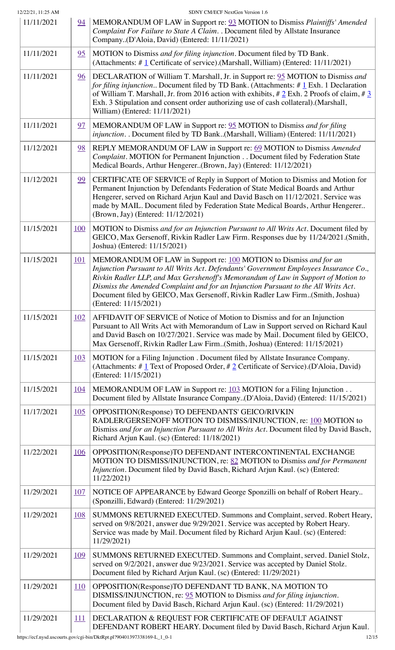| 12/22/21, 11:25 AM |            | SDNY CM/ECF NextGen Version 1.6                                                                                                                                                                                                                                                                                                                                                                                                                 |  |  |
|--------------------|------------|-------------------------------------------------------------------------------------------------------------------------------------------------------------------------------------------------------------------------------------------------------------------------------------------------------------------------------------------------------------------------------------------------------------------------------------------------|--|--|
| 11/11/2021         | 94         | MEMORANDUM OF LAW in Support re: 93 MOTION to Dismiss Plaintiffs' Amended<br>Complaint For Failure to State A Claim. . Document filed by Allstate Insurance<br>Company(D'Aloia, David) (Entered: 11/11/2021)                                                                                                                                                                                                                                    |  |  |
| 11/11/2021         | 95         | MOTION to Dismiss and for filing injunction. Document filed by TD Bank.<br>(Attachments: $\# \mathbf{1}$ Certificate of service).(Marshall, William) (Entered: 11/11/2021)                                                                                                                                                                                                                                                                      |  |  |
| 11/11/2021         | 96         | DECLARATION of William T. Marshall, Jr. in Support re: 95 MOTION to Dismiss and<br>for filing injunction Document filed by TD Bank. (Attachments: $\# \mathbf{1}$ Exh. 1 Declaration<br>of William T. Marshall, Jr. from 2016 action with exhibits, $\# 2$ Exh. 2 Proofs of claim, $\# 3$<br>Exh. 3 Stipulation and consent order authorizing use of cash collateral).(Marshall,<br>William) (Entered: 11/11/2021)                              |  |  |
| 11/11/2021         | 97         | MEMORANDUM OF LAW in Support re: 95 MOTION to Dismiss and for filing<br>injunction. . Document filed by TD Bank(Marshall, William) (Entered: 11/11/2021)                                                                                                                                                                                                                                                                                        |  |  |
| 11/12/2021         | 98         | REPLY MEMORANDUM OF LAW in Support re: 69 MOTION to Dismiss Amended<br>Complaint. MOTION for Permanent Injunction Document filed by Federation State<br>Medical Boards, Arthur Hengerer(Brown, Jay) (Entered: 11/12/2021)                                                                                                                                                                                                                       |  |  |
| 11/12/2021         | 99         | CERTIFICATE OF SERVICE of Reply in Support of Motion to Dismiss and Motion for<br>Permanent Injunction by Defendants Federation of State Medical Boards and Arthur<br>Hengerer, served on Richard Arjun Kaul and David Basch on 11/12/2021. Service was<br>made by MAIL. Document filed by Federation State Medical Boards, Arthur Hengerer<br>(Brown, Jay) (Entered: 11/12/2021)                                                               |  |  |
| 11/15/2021         | <u>100</u> | MOTION to Dismiss and for an Injunction Pursuant to All Writs Act. Document filed by<br>GEICO, Max Gersenoff, Rivkin Radler Law Firm. Responses due by 11/24/2021.(Smith,<br>Joshua) (Entered: 11/15/2021)                                                                                                                                                                                                                                      |  |  |
| 11/15/2021         | <u>101</u> | MEMORANDUM OF LAW in Support re: 100 MOTION to Dismiss and for an<br>Injunction Pursuant to All Writs Act. Defendants' Government Employees Insurance Co.,<br>Rivkin Radler LLP, and Max Gershenoff's Memorandum of Law in Support of Motion to<br>Dismiss the Amended Complaint and for an Injunction Pursuant to the All Writs Act.<br>Document filed by GEICO, Max Gersenoff, Rivkin Radler Law Firm(Smith, Joshua)<br>(Entered: 11/15/2021) |  |  |
| 11/15/2021         | <u>102</u> | AFFIDAVIT OF SERVICE of Notice of Motion to Dismiss and for an Injunction<br>Pursuant to All Writs Act with Memorandum of Law in Support served on Richard Kaul<br>and David Basch on 10/27/2021. Service was made by Mail. Document filed by GEICO,<br>Max Gersenoff, Rivkin Radler Law Firm(Smith, Joshua) (Entered: 11/15/2021)                                                                                                              |  |  |
| 11/15/2021         | <u>103</u> | MOTION for a Filing Injunction . Document filed by Allstate Insurance Company.<br>(Attachments: # $1$ Text of Proposed Order, # $2$ Certificate of Service).(D'Aloia, David)<br>(Entered: 11/15/2021)                                                                                                                                                                                                                                           |  |  |
| 11/15/2021         | 104        | MEMORANDUM OF LAW in Support re: 103 MOTION for a Filing Injunction<br>Document filed by Allstate Insurance Company(D'Aloia, David) (Entered: 11/15/2021)                                                                                                                                                                                                                                                                                       |  |  |
| 11/17/2021         | 105        | OPPOSITION(Response) TO DEFENDANTS' GEICO/RIVKIN<br>RADLER/GERSENOFF MOTION TO DISMISS/INJUNCTION, re: 100 MOTION to<br>Dismiss and for an Injunction Pursuant to All Writs Act. Document filed by David Basch,<br>Richard Arjun Kaul. (sc) (Entered: 11/18/2021)                                                                                                                                                                               |  |  |
| 11/22/2021         | <u>106</u> | OPPOSITION(Response)TO DEFENDANT INTERCONTINENTAL EXCHANGE<br>MOTION TO DISMISS/INJUNCTION, re: 82 MOTION to Dismiss and for Permanent<br>Injunction. Document filed by David Basch, Richard Arjun Kaul. (sc) (Entered:<br>11/22/2021)                                                                                                                                                                                                          |  |  |
| 11/29/2021         | <u>107</u> | NOTICE OF APPEARANCE by Edward George Sponzilli on behalf of Robert Heary<br>(Sponzilli, Edward) (Entered: 11/29/2021)                                                                                                                                                                                                                                                                                                                          |  |  |
| 11/29/2021         | 108        | SUMMONS RETURNED EXECUTED. Summons and Complaint, served. Robert Heary,<br>served on 9/8/2021, answer due 9/29/2021. Service was accepted by Robert Heary.<br>Service was made by Mail. Document filed by Richard Arjun Kaul. (sc) (Entered:<br>11/29/2021)                                                                                                                                                                                     |  |  |
| 11/29/2021         | <u>109</u> | SUMMONS RETURNED EXECUTED. Summons and Complaint, served. Daniel Stolz,<br>served on 9/2/2021, answer due 9/23/2021. Service was accepted by Daniel Stolz.<br>Document filed by Richard Arjun Kaul. (sc) (Entered: 11/29/2021)                                                                                                                                                                                                                  |  |  |
| 11/29/2021         | <u>110</u> | OPPOSITION(Response) TO DEFENDANT TD BANK, NA MOTION TO<br>DISMISS/INJUNCTION, re: 95 MOTION to Dismiss and for filing injunction.<br>Document filed by David Basch, Richard Arjun Kaul. (sc) (Entered: 11/29/2021)                                                                                                                                                                                                                             |  |  |
| 11/29/2021         | 111        | DECLARATION & REQUEST FOR CERTIFICATE OF DEFAULT AGAINST<br>DEFENDANT ROBERT HEARY. Document filed by David Basch, Richard Arjun Kaul.                                                                                                                                                                                                                                                                                                          |  |  |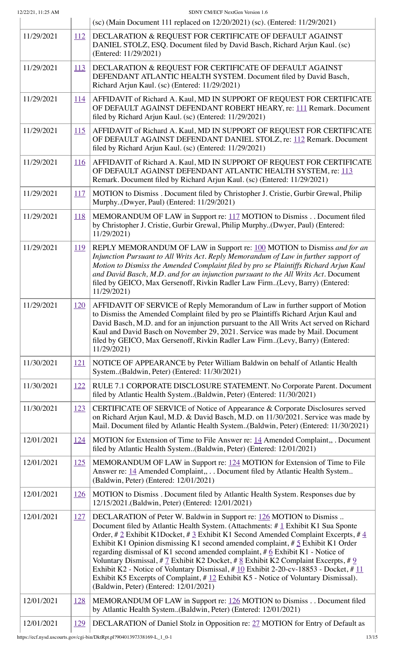| 12/22/21, 11:25 AM |            | SDNY CM/ECF NextGen Version 1.6                                                                                                                                                                                                                                                                                                                                                                                                                                                                                                                                                                                                                                                                                                                                                        |  |  |  |
|--------------------|------------|----------------------------------------------------------------------------------------------------------------------------------------------------------------------------------------------------------------------------------------------------------------------------------------------------------------------------------------------------------------------------------------------------------------------------------------------------------------------------------------------------------------------------------------------------------------------------------------------------------------------------------------------------------------------------------------------------------------------------------------------------------------------------------------|--|--|--|
|                    |            | (sc) (Main Document 111 replaced on 12/20/2021) (sc). (Entered: 11/29/2021)                                                                                                                                                                                                                                                                                                                                                                                                                                                                                                                                                                                                                                                                                                            |  |  |  |
| 11/29/2021         | <u>112</u> | DECLARATION & REQUEST FOR CERTIFICATE OF DEFAULT AGAINST<br>DANIEL STOLZ, ESQ. Document filed by David Basch, Richard Arjun Kaul. (sc)<br>(Entered: 11/29/2021)                                                                                                                                                                                                                                                                                                                                                                                                                                                                                                                                                                                                                        |  |  |  |
| 11/29/2021         | 113        | DECLARATION & REQUEST FOR CERTIFICATE OF DEFAULT AGAINST<br>DEFENDANT ATLANTIC HEALTH SYSTEM. Document filed by David Basch,<br>Richard Arjun Kaul. (sc) (Entered: 11/29/2021)                                                                                                                                                                                                                                                                                                                                                                                                                                                                                                                                                                                                         |  |  |  |
| 11/29/2021         | <u>114</u> | AFFIDAVIT of Richard A. Kaul, MD IN SUPPORT OF REQUEST FOR CERTIFICATE<br>OF DEFAULT AGAINST DEFENDANT ROBERT HEARY, re: 111 Remark. Document<br>filed by Richard Arjun Kaul. (sc) (Entered: 11/29/2021)                                                                                                                                                                                                                                                                                                                                                                                                                                                                                                                                                                               |  |  |  |
| 11/29/2021         | 115        | AFFIDAVIT of Richard A. Kaul, MD IN SUPPORT OF REQUEST FOR CERTIFICATE<br>OF DEFAULT AGAINST DEFENDANT DANIEL STOLZ, re: 112 Remark. Document<br>filed by Richard Arjun Kaul. (sc) (Entered: 11/29/2021)                                                                                                                                                                                                                                                                                                                                                                                                                                                                                                                                                                               |  |  |  |
| 11/29/2021         | <u>116</u> | AFFIDAVIT of Richard A. Kaul, MD IN SUPPORT OF REQUEST FOR CERTIFICATE<br>OF DEFAULT AGAINST DEFENDANT ATLANTIC HEALTH SYSTEM, re: 113<br>Remark. Document filed by Richard Arjun Kaul. (sc) (Entered: 11/29/2021)                                                                                                                                                                                                                                                                                                                                                                                                                                                                                                                                                                     |  |  |  |
| 11/29/2021         | <u>117</u> | MOTION to Dismiss . Document filed by Christopher J. Cristie, Gurbir Grewal, Philip<br>Murphy(Dwyer, Paul) (Entered: 11/29/2021)                                                                                                                                                                                                                                                                                                                                                                                                                                                                                                                                                                                                                                                       |  |  |  |
| 11/29/2021         | <u>118</u> | MEMORANDUM OF LAW in Support re: 117 MOTION to Dismiss Document filed<br>by Christopher J. Cristie, Gurbir Grewal, Philip Murphy(Dwyer, Paul) (Entered:<br>11/29/2021)                                                                                                                                                                                                                                                                                                                                                                                                                                                                                                                                                                                                                 |  |  |  |
| 11/29/2021         | <u>119</u> | REPLY MEMORANDUM OF LAW in Support re: 100 MOTION to Dismiss and for an<br>Injunction Pursuant to All Writs Act. Reply Memorandum of Law in further support of<br>Motion to Dismiss the Amended Complaint filed by pro se Plaintiffs Richard Arjun Kaul<br>and David Basch, M.D. and for an injunction pursuant to the All Writs Act. Document<br>filed by GEICO, Max Gersenoff, Rivkin Radler Law Firm(Levy, Barry) (Entered:<br>11/29/2021)                                                                                                                                                                                                                                                                                                                                          |  |  |  |
| 11/29/2021         | <u>120</u> | AFFIDAVIT OF SERVICE of Reply Memorandum of Law in further support of Motion<br>to Dismiss the Amended Complaint filed by pro se Plaintiffs Richard Arjun Kaul and<br>David Basch, M.D. and for an injunction pursuant to the All Writs Act served on Richard<br>Kaul and David Basch on November 29, 2021. Service was made by Mail. Document<br>filed by GEICO, Max Gersenoff, Rivkin Radler Law Firm(Levy, Barry) (Entered:<br>11/29/2021)                                                                                                                                                                                                                                                                                                                                          |  |  |  |
| 11/30/2021         | 121        | NOTICE OF APPEARANCE by Peter William Baldwin on behalf of Atlantic Health<br>System(Baldwin, Peter) (Entered: 11/30/2021)                                                                                                                                                                                                                                                                                                                                                                                                                                                                                                                                                                                                                                                             |  |  |  |
| 11/30/2021         | 122        | RULE 7.1 CORPORATE DISCLOSURE STATEMENT. No Corporate Parent. Document<br>filed by Atlantic Health System(Baldwin, Peter) (Entered: 11/30/2021)                                                                                                                                                                                                                                                                                                                                                                                                                                                                                                                                                                                                                                        |  |  |  |
| 11/30/2021         | 123        | CERTIFICATE OF SERVICE of Notice of Appearance & Corporate Disclosures served<br>on Richard Arjun Kaul, M.D. & David Basch, M.D. on 11/30/2021. Service was made by<br>Mail. Document filed by Atlantic Health System(Baldwin, Peter) (Entered: 11/30/2021)                                                                                                                                                                                                                                                                                                                                                                                                                                                                                                                            |  |  |  |
| 12/01/2021         | 124        | MOTION for Extension of Time to File Answer re: 14 Amended Complaint, Document<br>filed by Atlantic Health System(Baldwin, Peter) (Entered: 12/01/2021)                                                                                                                                                                                                                                                                                                                                                                                                                                                                                                                                                                                                                                |  |  |  |
| 12/01/2021         | 125        | MEMORANDUM OF LAW in Support re: 124 MOTION for Extension of Time to File<br>Answer re: 14 Amended Complaint, Document filed by Atlantic Health System<br>(Baldwin, Peter) (Entered: 12/01/2021)                                                                                                                                                                                                                                                                                                                                                                                                                                                                                                                                                                                       |  |  |  |
| 12/01/2021         | <u>126</u> | MOTION to Dismiss . Document filed by Atlantic Health System. Responses due by<br>12/15/2021.(Baldwin, Peter) (Entered: 12/01/2021)                                                                                                                                                                                                                                                                                                                                                                                                                                                                                                                                                                                                                                                    |  |  |  |
| 12/01/2021         | 127        | DECLARATION of Peter W. Baldwin in Support re: 126 MOTION to Dismiss<br>Document filed by Atlantic Health System. (Attachments: #1 Exhibit K1 Sua Sponte<br>Order, # 2 Exhibit K1Docket, # 3 Exhibit K1 Second Amended Complaint Excerpts, # $\frac{4}{3}$<br>Exhibit K1 Opinion dismissing K1 second amended complaint, $\# 5$ Exhibit K1 Order<br>regarding dismissal of K1 second amended complaint, $#6$ Exhibit K1 - Notice of<br>Voluntary Dismissal, # $\frac{7}{2}$ Exhibit K2 Docket, # $\frac{8}{2}$ Exhibit K2 Complaint Excerpts, # $\frac{9}{2}$<br>Exhibit K2 - Notice of Voluntary Dismissal, # 10 Exhibit 2-20-cv-18853 - Docket, # 11<br>Exhibit K5 Excerpts of Complaint, #12 Exhibit K5 - Notice of Voluntary Dismissal).<br>(Baldwin, Peter) (Entered: 12/01/2021) |  |  |  |
| 12/01/2021         | <u>128</u> | MEMORANDUM OF LAW in Support re: 126 MOTION to Dismiss Document filed<br>by Atlantic Health System(Baldwin, Peter) (Entered: 12/01/2021)                                                                                                                                                                                                                                                                                                                                                                                                                                                                                                                                                                                                                                               |  |  |  |
| 12/01/2021         | 129        | DECLARATION of Daniel Stolz in Opposition re: 27 MOTION for Entry of Default as                                                                                                                                                                                                                                                                                                                                                                                                                                                                                                                                                                                                                                                                                                        |  |  |  |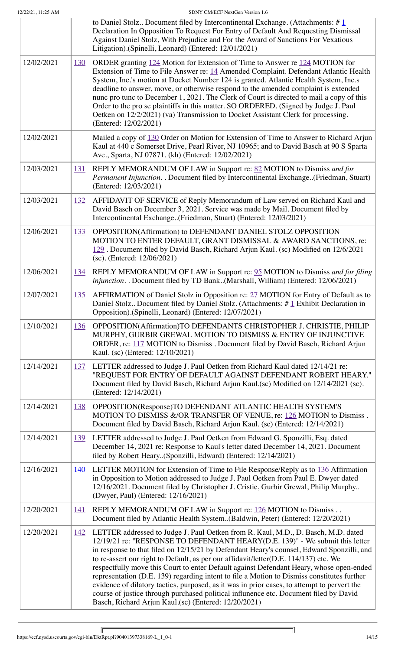|            |            | to Daniel Stolz Document filed by Intercontinental Exchange. (Attachments: $\#$ 1<br>Declaration In Opposition To Request For Entry of Default And Requesting Dismissal<br>Against Daniel Stolz, With Prejudice and For the Award of Sanctions For Vexatious<br>Litigation).(Spinelli, Leonard) (Entered: 12/01/2021)                                                                                                                                                                                                                                                                                                                                                                                                                                                                           |  |
|------------|------------|-------------------------------------------------------------------------------------------------------------------------------------------------------------------------------------------------------------------------------------------------------------------------------------------------------------------------------------------------------------------------------------------------------------------------------------------------------------------------------------------------------------------------------------------------------------------------------------------------------------------------------------------------------------------------------------------------------------------------------------------------------------------------------------------------|--|
| 12/02/2021 | <u>130</u> | ORDER granting 124 Motion for Extension of Time to Answer re 124 MOTION for<br>Extension of Time to File Answer re: 14 Amended Complaint. Defendant Atlantic Health<br>System, Inc.'s motion at Docket Number 124 is granted. Atlantic Health System, Inc.s<br>deadline to answer, move, or otherwise respond to the amended complaint is extended<br>nunc pro tunc to December 1, 2021. The Clerk of Court is directed to mail a copy of this<br>Order to the pro se plaintiffs in this matter. SO ORDERED. (Signed by Judge J. Paul<br>Oetken on 12/2/2021) (va) Transmission to Docket Assistant Clerk for processing.<br>(Entered: 12/02/2021)                                                                                                                                              |  |
| 12/02/2021 |            | Mailed a copy of 130 Order on Motion for Extension of Time to Answer to Richard Arjun<br>Kaul at 440 c Somerset Drive, Pearl River, NJ 10965; and to David Basch at 90 S Sparta<br>Ave., Sparta, NJ 07871. (kh) (Entered: 12/02/2021)                                                                                                                                                                                                                                                                                                                                                                                                                                                                                                                                                           |  |
| 12/03/2021 | <u>131</u> | REPLY MEMORANDUM OF LAW in Support re: 82 MOTION to Dismiss and for<br>Permanent Injunction. . Document filed by Intercontinental Exchange(Friedman, Stuart)<br>(Entered: 12/03/2021)                                                                                                                                                                                                                                                                                                                                                                                                                                                                                                                                                                                                           |  |
| 12/03/2021 | <u>132</u> | AFFIDAVIT OF SERVICE of Reply Memorandum of Law served on Richard Kaul and<br>David Basch on December 3, 2021. Service was made by Mail. Document filed by<br>Intercontinental Exchange(Friedman, Stuart) (Entered: 12/03/2021)                                                                                                                                                                                                                                                                                                                                                                                                                                                                                                                                                                 |  |
| 12/06/2021 | 133        | OPPOSITION(Affirmation) to DEFENDANT DANIEL STOLZ OPPOSITION<br>MOTION TO ENTER DEFAULT, GRANT DISMISSAL & AWARD SANCTIONS, re:<br>129. Document filed by David Basch, Richard Arjun Kaul. (sc) Modified on 12/6/2021<br>(sc). (Entered: 12/06/2021)                                                                                                                                                                                                                                                                                                                                                                                                                                                                                                                                            |  |
| 12/06/2021 | <u>134</u> | REPLY MEMORANDUM OF LAW in Support re: 95 MOTION to Dismiss and for filing<br>injunction. . Document filed by TD Bank(Marshall, William) (Entered: 12/06/2021)                                                                                                                                                                                                                                                                                                                                                                                                                                                                                                                                                                                                                                  |  |
| 12/07/2021 | <u>135</u> | AFFIRMATION of Daniel Stolz in Opposition re: 27 MOTION for Entry of Default as to<br>Daniel Stolz Document filed by Daniel Stolz. (Attachments: $\# \perp E$ xhibit Declaration in<br>Opposition).(Spinelli, Leonard) (Entered: 12/07/2021)                                                                                                                                                                                                                                                                                                                                                                                                                                                                                                                                                    |  |
| 12/10/2021 | <u>136</u> | OPPOSITION(Affirmation)TO DEFENDANTS CHRISTOPHER J. CHRISTIE, PHILIP<br>MURPHY, GURBIR GREWAL MOTION TO DISMISS & ENTRY OF INJUNCTIVE<br>ORDER, re: 117 MOTION to Dismiss. Document filed by David Basch, Richard Arjun<br>Kaul. (sc) (Entered: 12/10/2021)                                                                                                                                                                                                                                                                                                                                                                                                                                                                                                                                     |  |
| 12/14/2021 | 137        | LETTER addressed to Judge J. Paul Oetken from Richard Kaul dated 12/14/21 re:<br>"REQUEST FOR ENTRY OF DEFAULT AGAINST DEFENDANT ROBERT HEARY."<br>Document filed by David Basch, Richard Arjun Kaul.(sc) Modified on 12/14/2021 (sc).<br>(Entered: 12/14/2021)                                                                                                                                                                                                                                                                                                                                                                                                                                                                                                                                 |  |
| 12/14/2021 | <u>138</u> | OPPOSITION(Response)TO DEFENDANT ATLANTIC HEALTH SYSTEM'S<br>MOTION TO DISMISS &/OR TRANSFER OF VENUE, re: 126 MOTION to Dismiss.<br>Document filed by David Basch, Richard Arjun Kaul. (sc) (Entered: 12/14/2021)                                                                                                                                                                                                                                                                                                                                                                                                                                                                                                                                                                              |  |
| 12/14/2021 | <u>139</u> | LETTER addressed to Judge J. Paul Oetken from Edward G. Sponzilli, Esq. dated<br>December 14, 2021 re: Response to Kaul's letter dated December 14, 2021. Document<br>filed by Robert Heary(Sponzilli, Edward) (Entered: 12/14/2021)                                                                                                                                                                                                                                                                                                                                                                                                                                                                                                                                                            |  |
| 12/16/2021 | 140        | LETTER MOTION for Extension of Time to File Response/Reply as to 136 Affirmation<br>in Opposition to Motion addressed to Judge J. Paul Oetken from Paul E. Dwyer dated<br>12/16/2021. Document filed by Christopher J. Cristie, Gurbir Grewal, Philip Murphy<br>(Dwyer, Paul) (Entered: 12/16/2021)                                                                                                                                                                                                                                                                                                                                                                                                                                                                                             |  |
| 12/20/2021 | <u>141</u> | REPLY MEMORANDUM OF LAW in Support re: 126 MOTION to Dismiss<br>Document filed by Atlantic Health System(Baldwin, Peter) (Entered: 12/20/2021)                                                                                                                                                                                                                                                                                                                                                                                                                                                                                                                                                                                                                                                  |  |
| 12/20/2021 | <u>142</u> | LETTER addressed to Judge J. Paul Oetken from R. Kaul, M.D., D. Basch, M.D. dated<br>12/19/21 re: "RESPONSE TO DEFENDANT HEARY(D.E. 139)" - We submit this letter<br>in response to that filed on 12/15/21 by Defendant Heary's counsel, Edward Sponzilli, and<br>to re-assert our right to Default, as per our affidavit/letter(D.E. 114/137) etc. We<br>respectfully move this Court to enter Default against Defendant Heary, whose open-ended<br>representation (D.E. 139) regarding intent to file a Motion to Dismiss constitutes further<br>evidence of dilatory tactics, purposed, as it was in prior cases, to attempt to pervert the<br>course of justice through purchased political influnence etc. Document filed by David<br>Basch, Richard Arjun Kaul.(sc) (Entered: 12/20/2021) |  |

 $\overline{\mathbb{L}}$